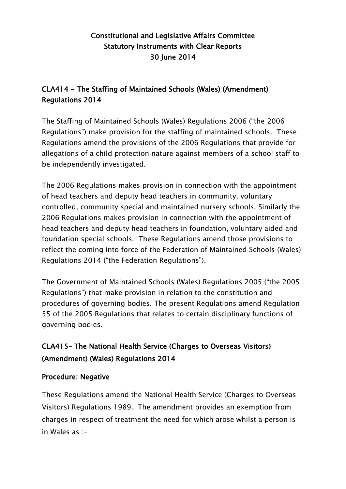## Constitutional and Legislative Affairs Committee Statutory Instruments with Clear Reports 30 June 2014

## CLA414 - The Staffing of Maintained Schools (Wales) (Amendment) Regulations 2014

The Staffing of Maintained Schools (Wales) Regulations 2006 ("the 2006 Regulations") make provision for the staffing of maintained schools. These Regulations amend the provisions of the 2006 Regulations that provide for allegations of a child protection nature against members of a school staff to be independently investigated.

The 2006 Regulations makes provision in connection with the appointment of head teachers and deputy head teachers in community, voluntary controlled, community special and maintained nursery schools. Similarly the 2006 Regulations makes provision in connection with the appointment of head teachers and deputy head teachers in foundation, voluntary aided and foundation special schools. These Regulations amend those provisions to reflect the coming into force of the Federation of Maintained Schools (Wales) Regulations 2014 ("the Federation Regulations").

The Government of Maintained Schools (Wales) Regulations 2005 ("the 2005 Regulations") that make provision in relation to the constitution and procedures of governing bodies. The present Regulations amend Regulation 55 of the 2005 Regulations that relates to certain disciplinary functions of governing bodies.

## CLA415– The National Health Service (Charges to Overseas Visitors) (Amendment) (Wales) Regulations 2014

## Procedure: Negative

These Regulations amend the National Health Service (Charges to Overseas Visitors) Regulations 1989. The amendment provides an exemption from charges in respect of treatment the need for which arose whilst a person is in Wales as :-